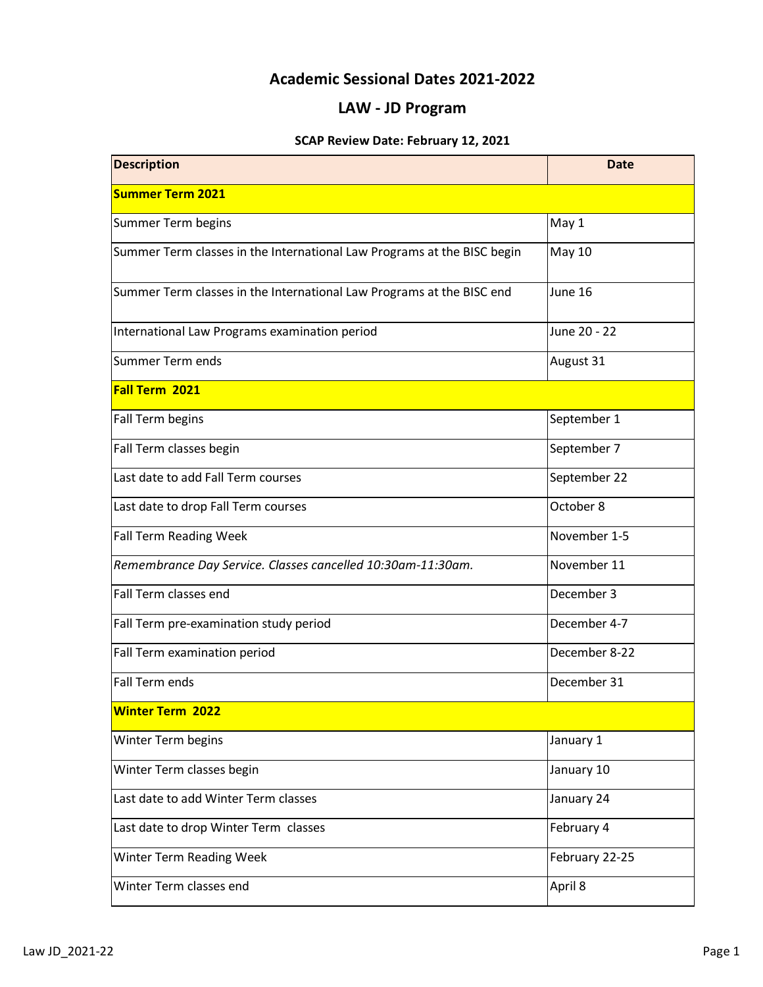## **Academic Sessional Dates 2021-2022**

## **LAW - JD Program**

## **SCAP Review Date: February 12, 2021**

| <b>Description</b>                                                      | <b>Date</b>    |
|-------------------------------------------------------------------------|----------------|
| <b>Summer Term 2021</b>                                                 |                |
| Summer Term begins                                                      | May 1          |
| Summer Term classes in the International Law Programs at the BISC begin | <b>May 10</b>  |
| Summer Term classes in the International Law Programs at the BISC end   | June 16        |
| International Law Programs examination period                           | June 20 - 22   |
| Summer Term ends                                                        | August 31      |
| Fall Term 2021                                                          |                |
| Fall Term begins                                                        | September 1    |
| Fall Term classes begin                                                 | September 7    |
| Last date to add Fall Term courses                                      | September 22   |
| Last date to drop Fall Term courses                                     | October 8      |
| <b>Fall Term Reading Week</b>                                           | November 1-5   |
| Remembrance Day Service. Classes cancelled 10:30am-11:30am.             | November 11    |
| Fall Term classes end                                                   | December 3     |
| Fall Term pre-examination study period                                  | December 4-7   |
| Fall Term examination period                                            | December 8-22  |
| Fall Term ends                                                          | December 31    |
| <b>Winter Term 2022</b>                                                 |                |
| Winter Term begins                                                      | January 1      |
| Winter Term classes begin                                               | January 10     |
| Last date to add Winter Term classes                                    | January 24     |
| Last date to drop Winter Term classes                                   | February 4     |
| Winter Term Reading Week                                                | February 22-25 |
| Winter Term classes end                                                 | April 8        |